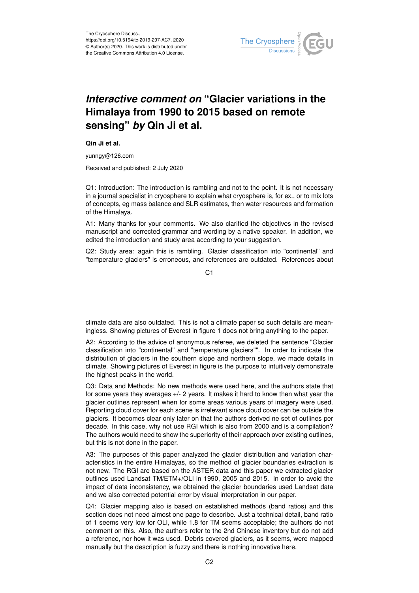

## *Interactive comment on* **"Glacier variations in the Himalaya from 1990 to 2015 based on remote sensing"** *by* **Qin Ji et al.**

**Qin Ji et al.**

yunngy@126.com

Received and published: 2 July 2020

Q1: Introduction: The introduction is rambling and not to the point. It is not necessary in a journal specialist in cryosphere to explain what cryosphere is, for ex., or to mix lots of concepts, eg mass balance and SLR estimates, then water resources and formation of the Himalaya.

A1: Many thanks for your comments. We also clarified the objectives in the revised manuscript and corrected grammar and wording by a native speaker. In addition, we edited the introduction and study area according to your suggestion.

Q2: Study area: again this is rambling. Glacier classification into "continental" and "temperature glaciers" is erroneous, and references are outdated. References about

 $C<sub>1</sub>$ 

climate data are also outdated. This is not a climate paper so such details are meaningless. Showing pictures of Everest in figure 1 does not bring anything to the paper.

A2: According to the advice of anonymous referee, we deleted the sentence "Glacier classification into "continental" and "temperature glaciers"". In order to indicate the distribution of glaciers in the southern slope and northern slope, we made details in climate. Showing pictures of Everest in figure is the purpose to intuitively demonstrate the highest peaks in the world.

Q3: Data and Methods: No new methods were used here, and the authors state that for some years they averages +/- 2 years. It makes it hard to know then what year the glacier outlines represent when for some areas various years of imagery were used. Reporting cloud cover for each scene is irrelevant since cloud cover can be outside the glaciers. It becomes clear only later on that the authors derived ne set of outlines per decade. In this case, why not use RGI which is also from 2000 and is a compilation? The authors would need to show the superiority of their approach over existing outlines, but this is not done in the paper.

A3: The purposes of this paper analyzed the glacier distribution and variation characteristics in the entire Himalayas, so the method of glacier boundaries extraction is not new. The RGI are based on the ASTER data and this paper we extracted glacier outlines used Landsat TM/ETM+/OLI in 1990, 2005 and 2015. In order to avoid the impact of data inconsistency, we obtained the glacier boundaries used Landsat data and we also corrected potential error by visual interpretation in our paper.

Q4: Glacier mapping also is based on established methods (band ratios) and this section does not need almost one page to describe. Just a technical detail, band ratio of 1 seems very low for OLI, while 1.8 for TM seems acceptable; the authors do not comment on this. Also, the authors refer to the 2nd Chinese inventory but do not add a reference, nor how it was used. Debris covered glaciers, as it seems, were mapped manually but the description is fuzzy and there is nothing innovative here.